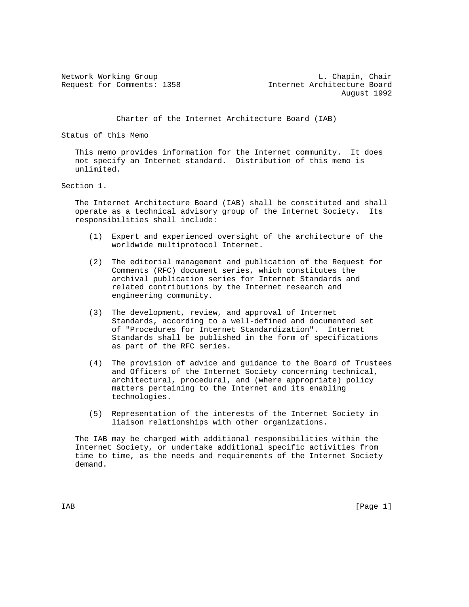Network Working Group and Chair Chapin, Chair Request for Comments: 1358 Internet Architecture Board August 1992

Charter of the Internet Architecture Board (IAB)

Status of this Memo

 This memo provides information for the Internet community. It does not specify an Internet standard. Distribution of this memo is unlimited.

Section 1.

 The Internet Architecture Board (IAB) shall be constituted and shall operate as a technical advisory group of the Internet Society. Its responsibilities shall include:

- (1) Expert and experienced oversight of the architecture of the worldwide multiprotocol Internet.
- (2) The editorial management and publication of the Request for Comments (RFC) document series, which constitutes the archival publication series for Internet Standards and related contributions by the Internet research and engineering community.
- (3) The development, review, and approval of Internet Standards, according to a well-defined and documented set of "Procedures for Internet Standardization". Internet Standards shall be published in the form of specifications as part of the RFC series.
- (4) The provision of advice and guidance to the Board of Trustees and Officers of the Internet Society concerning technical, architectural, procedural, and (where appropriate) policy matters pertaining to the Internet and its enabling technologies.
- (5) Representation of the interests of the Internet Society in liaison relationships with other organizations.

 The IAB may be charged with additional responsibilities within the Internet Society, or undertake additional specific activities from time to time, as the needs and requirements of the Internet Society demand.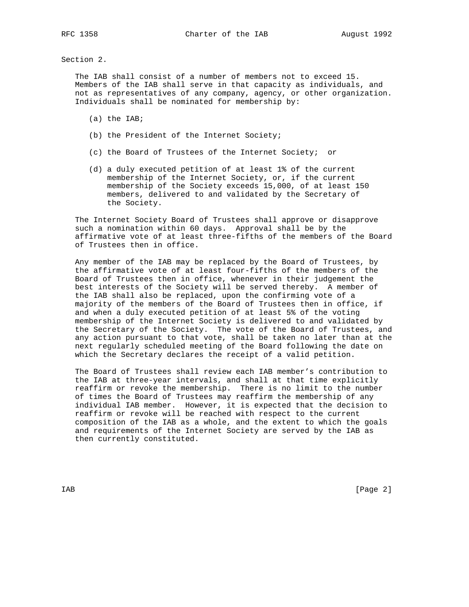Section 2.

 The IAB shall consist of a number of members not to exceed 15. Members of the IAB shall serve in that capacity as individuals, and not as representatives of any company, agency, or other organization. Individuals shall be nominated for membership by:

- (a) the IAB;
- (b) the President of the Internet Society;
- (c) the Board of Trustees of the Internet Society; or
- (d) a duly executed petition of at least 1% of the current membership of the Internet Society, or, if the current membership of the Society exceeds 15,000, of at least 150 members, delivered to and validated by the Secretary of the Society.

 The Internet Society Board of Trustees shall approve or disapprove such a nomination within 60 days. Approval shall be by the affirmative vote of at least three-fifths of the members of the Board of Trustees then in office.

 Any member of the IAB may be replaced by the Board of Trustees, by the affirmative vote of at least four-fifths of the members of the Board of Trustees then in office, whenever in their judgement the best interests of the Society will be served thereby. A member of the IAB shall also be replaced, upon the confirming vote of a majority of the members of the Board of Trustees then in office, if and when a duly executed petition of at least 5% of the voting membership of the Internet Society is delivered to and validated by the Secretary of the Society. The vote of the Board of Trustees, and any action pursuant to that vote, shall be taken no later than at the next regularly scheduled meeting of the Board following the date on which the Secretary declares the receipt of a valid petition.

 The Board of Trustees shall review each IAB member's contribution to the IAB at three-year intervals, and shall at that time explicitly reaffirm or revoke the membership. There is no limit to the number of times the Board of Trustees may reaffirm the membership of any individual IAB member. However, it is expected that the decision to reaffirm or revoke will be reached with respect to the current composition of the IAB as a whole, and the extent to which the goals and requirements of the Internet Society are served by the IAB as then currently constituted.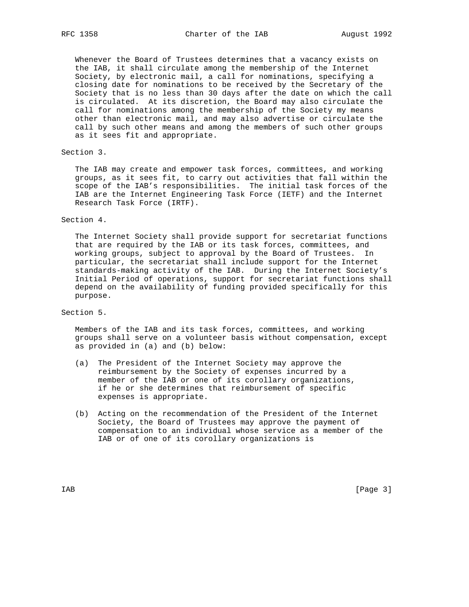RFC 1358 Charter of the IAB August 1992

 Whenever the Board of Trustees determines that a vacancy exists on the IAB, it shall circulate among the membership of the Internet Society, by electronic mail, a call for nominations, specifying a closing date for nominations to be received by the Secretary of the Society that is no less than 30 days after the date on which the call is circulated. At its discretion, the Board may also circulate the call for nominations among the membership of the Society my means other than electronic mail, and may also advertise or circulate the call by such other means and among the members of such other groups as it sees fit and appropriate.

## Section 3.

 The IAB may create and empower task forces, committees, and working groups, as it sees fit, to carry out activities that fall within the scope of the IAB's responsibilities. The initial task forces of the IAB are the Internet Engineering Task Force (IETF) and the Internet Research Task Force (IRTF).

## Section 4.

 The Internet Society shall provide support for secretariat functions that are required by the IAB or its task forces, committees, and working groups, subject to approval by the Board of Trustees. In particular, the secretariat shall include support for the Internet standards-making activity of the IAB. During the Internet Society's Initial Period of operations, support for secretariat functions shall depend on the availability of funding provided specifically for this purpose.

## Section 5.

 Members of the IAB and its task forces, committees, and working groups shall serve on a volunteer basis without compensation, except as provided in (a) and (b) below:

- (a) The President of the Internet Society may approve the reimbursement by the Society of expenses incurred by a member of the IAB or one of its corollary organizations, if he or she determines that reimbursement of specific expenses is appropriate.
- (b) Acting on the recommendation of the President of the Internet Society, the Board of Trustees may approve the payment of compensation to an individual whose service as a member of the IAB or of one of its corollary organizations is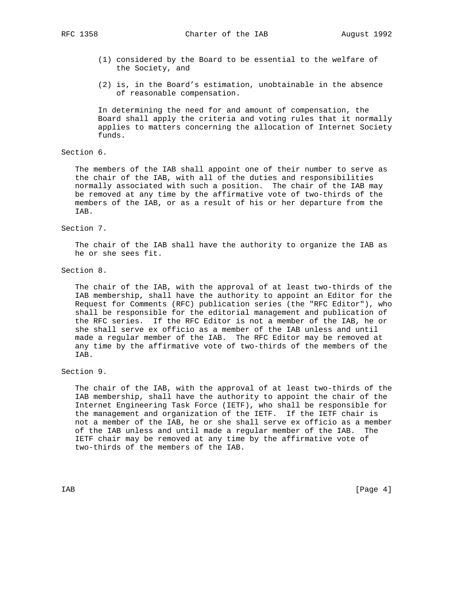RFC 1358 Charter of the IAB August 1992

- (1) considered by the Board to be essential to the welfare of the Society, and
- (2) is, in the Board's estimation, unobtainable in the absence of reasonable compensation.

 In determining the need for and amount of compensation, the Board shall apply the criteria and voting rules that it normally applies to matters concerning the allocation of Internet Society funds.

Section 6.

 The members of the IAB shall appoint one of their number to serve as the chair of the IAB, with all of the duties and responsibilities normally associated with such a position. The chair of the IAB may be removed at any time by the affirmative vote of two-thirds of the members of the IAB, or as a result of his or her departure from the IAB.

Section 7.

 The chair of the IAB shall have the authority to organize the IAB as he or she sees fit.

Section 8.

 The chair of the IAB, with the approval of at least two-thirds of the IAB membership, shall have the authority to appoint an Editor for the Request for Comments (RFC) publication series (the "RFC Editor"), who shall be responsible for the editorial management and publication of the RFC series. If the RFC Editor is not a member of the IAB, he or she shall serve ex officio as a member of the IAB unless and until made a regular member of the IAB. The RFC Editor may be removed at any time by the affirmative vote of two-thirds of the members of the IAB.

Section 9.

 The chair of the IAB, with the approval of at least two-thirds of the IAB membership, shall have the authority to appoint the chair of the Internet Engineering Task Force (IETF), who shall be responsible for the management and organization of the IETF. If the IETF chair is not a member of the IAB, he or she shall serve ex officio as a member of the IAB unless and until made a regular member of the IAB. The IETF chair may be removed at any time by the affirmative vote of two-thirds of the members of the IAB.

IAB [Page 4]